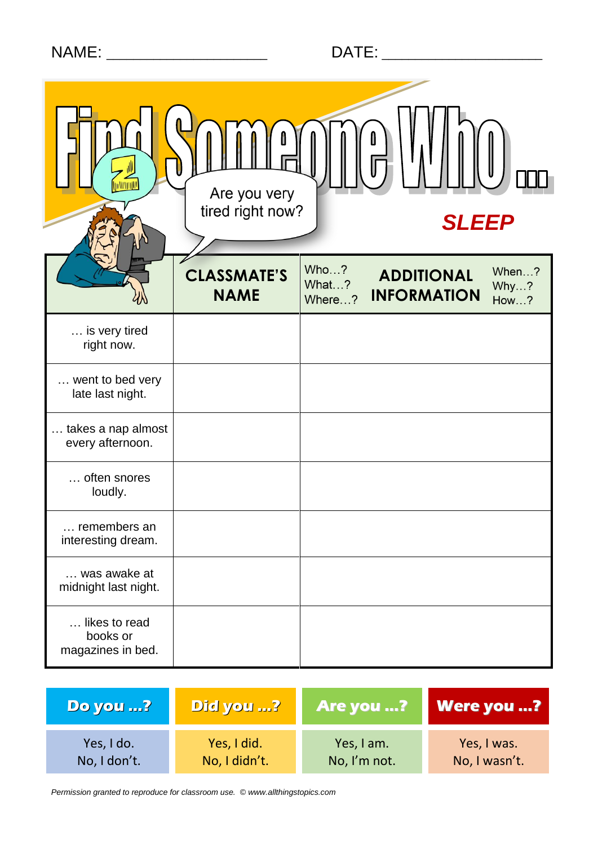|  | <b>NAME</b> | $\blacksquare$ |
|--|-------------|----------------|
|  |             |                |

|                                                | Are you very<br>tired right now?  |                         | <b>SLEEP</b>                            |                              |  |
|------------------------------------------------|-----------------------------------|-------------------------|-----------------------------------------|------------------------------|--|
|                                                | <b>CLASSMATE'S</b><br><b>NAME</b> | Who?<br>What?<br>Where? | <b>ADDITIONAL</b><br><b>INFORMATION</b> | When?<br>Why?<br><b>How?</b> |  |
| is very tired<br>right now.                    |                                   |                         |                                         |                              |  |
| went to bed very<br>late last night.           |                                   |                         |                                         |                              |  |
| takes a nap almost<br>every afternoon.         |                                   |                         |                                         |                              |  |
| often snores<br>loudly.                        |                                   |                         |                                         |                              |  |
| remembers an<br>interesting dream.             |                                   |                         |                                         |                              |  |
| was awake at<br>midnight last night.           |                                   |                         |                                         |                              |  |
| likes to read<br>books or<br>magazines in bed. |                                   |                         |                                         |                              |  |

| <b>Do you ?</b> | Did you ?     | <b>Are you ?</b> | <b>Were you ?</b> |
|-----------------|---------------|------------------|-------------------|
| Yes, I do.      | Yes, I did.   | Yes, I am.       | Yes, I was.       |
| No, I don't.    | No, I didn't. | No, I'm not.     | No, I wasn't.     |